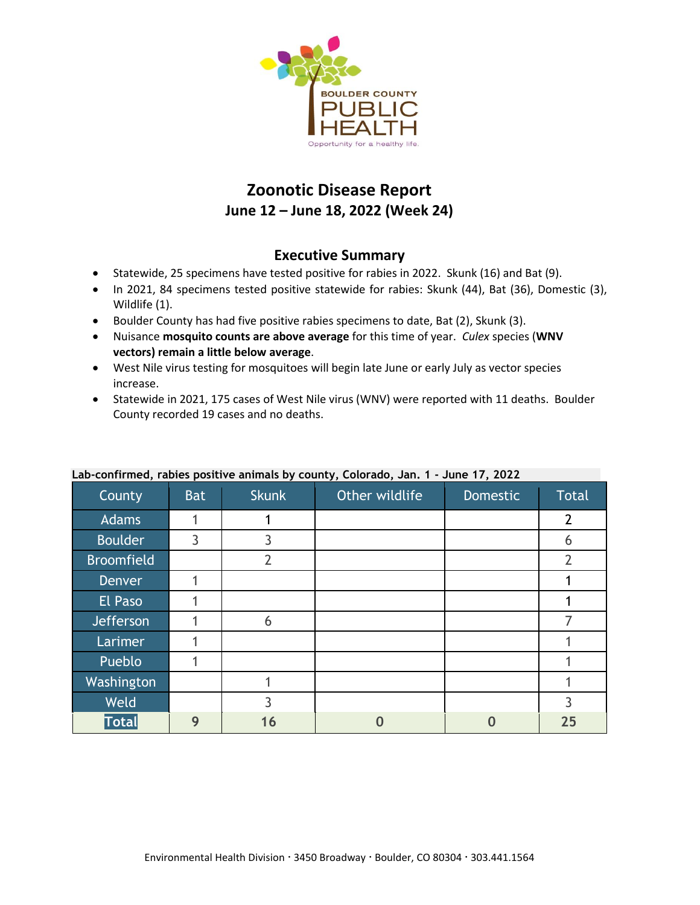

# **Zoonotic Disease Report June 12 – June 18, 2022 (Week 24)**

### **Executive Summary**

- Statewide, 25 specimens have tested positive for rabies in 2022. Skunk (16) and Bat (9).
- In 2021, 84 specimens tested positive statewide for rabies: Skunk (44), Bat (36), Domestic (3), Wildlife (1).
- Boulder County has had five positive rabies specimens to date, Bat (2), Skunk (3).
- Nuisance **mosquito counts are above average** for this time of year. *Culex* species (**WNV vectors) remain a little below average**.
- West Nile virus testing for mosquitoes will begin late June or early July as vector species increase.
- Statewide in 2021, 175 cases of West Nile virus (WNV) were reported with 11 deaths. Boulder County recorded 19 cases and no deaths.

| County            | <b>Bat</b> | <b>Skunk</b>   | ,,<br>Other wildlife | <b>Domestic</b> | <b>Total</b>   |
|-------------------|------------|----------------|----------------------|-----------------|----------------|
| <b>Adams</b>      |            |                |                      |                 | $\overline{2}$ |
| <b>Boulder</b>    | 3          | 3              |                      |                 | 6              |
| <b>Broomfield</b> |            | $\overline{2}$ |                      |                 | $\overline{2}$ |
| <b>Denver</b>     |            |                |                      |                 |                |
| El Paso           |            |                |                      |                 |                |
| Jefferson         |            | 6              |                      |                 |                |
| Larimer           |            |                |                      |                 |                |
| Pueblo            |            |                |                      |                 |                |
| Washington        |            |                |                      |                 |                |
| <b>Weld</b>       |            | 3              |                      |                 | 3              |
| Total             | 9          | 16             |                      |                 | 25             |

#### **Lab-confirmed, rabies positive animals by county, Colorado, Jan. 1 - June 17, 2022**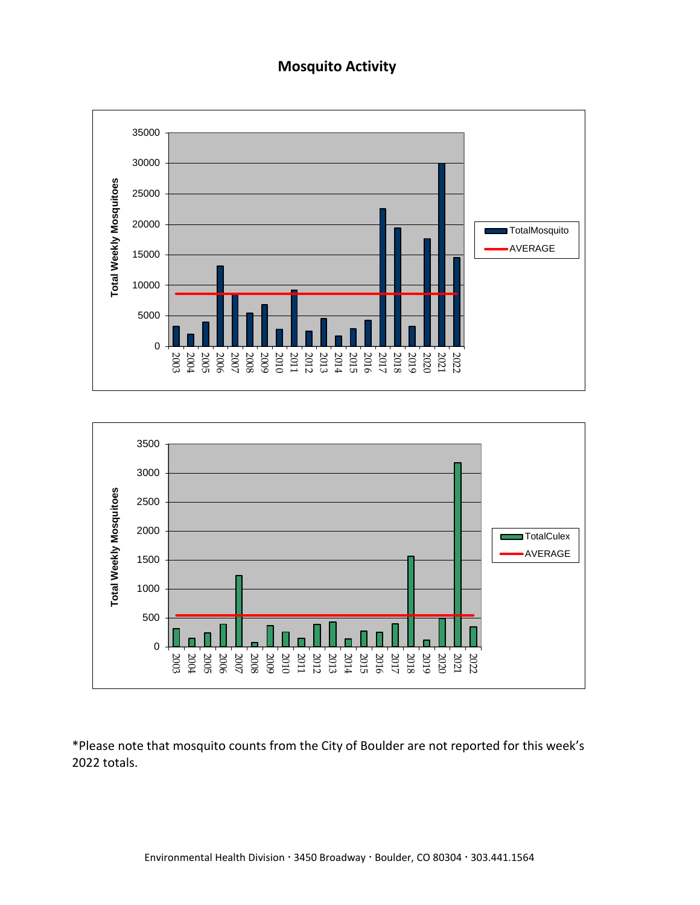## **Mosquito Activity**





\*Please note that mosquito counts from the City of Boulder are not reported for this week's 2022 totals.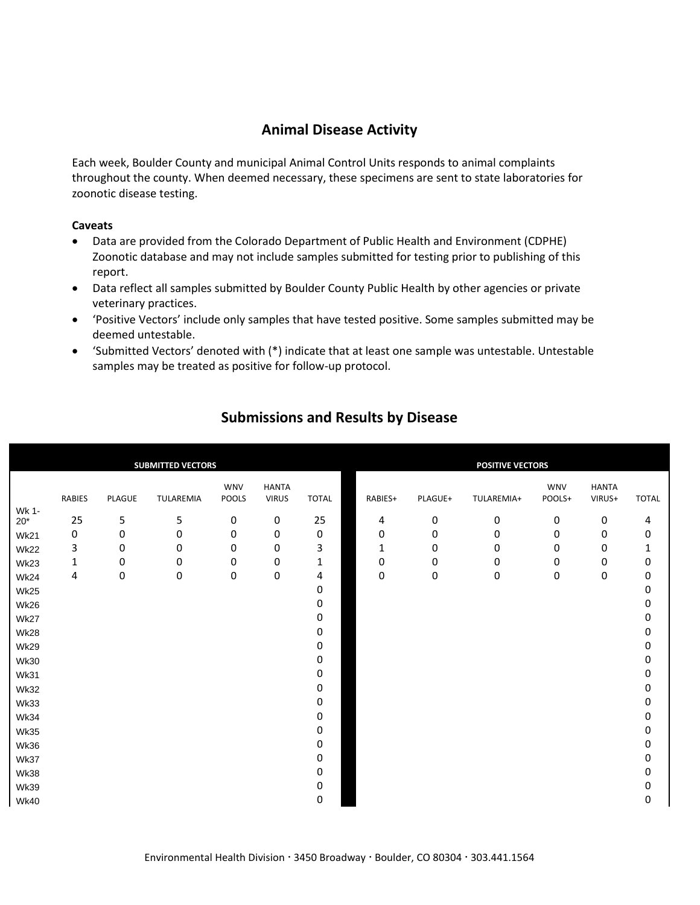### **Animal Disease Activity**

Each week, Boulder County and municipal Animal Control Units responds to animal complaints throughout the county. When deemed necessary, these specimens are sent to state laboratories for zoonotic disease testing.

#### **Caveats**

- Data are provided from the Colorado Department of Public Health and Environment (CDPHE) Zoonotic database and may not include samples submitted for testing prior to publishing of this report.
- Data reflect all samples submitted by Boulder County Public Health by other agencies or private veterinary practices.
- 'Positive Vectors' include only samples that have tested positive. Some samples submitted may be deemed untestable.
- 'Submitted Vectors' denoted with (\*) indicate that at least one sample was untestable. Untestable samples may be treated as positive for follow-up protocol.

|                       |               |           | <b>SUBMITTED VECTORS</b> |                     |                              |              |             |           | <b>POSITIVE VECTORS</b> |                      |                        |              |
|-----------------------|---------------|-----------|--------------------------|---------------------|------------------------------|--------------|-------------|-----------|-------------------------|----------------------|------------------------|--------------|
|                       | <b>RABIES</b> | PLAGUE    | TULAREMIA                | <b>WNV</b><br>POOLS | <b>HANTA</b><br><b>VIRUS</b> | <b>TOTAL</b> | RABIES+     | PLAGUE+   | TULAREMIA+              | <b>WNV</b><br>POOLS+ | <b>HANTA</b><br>VIRUS+ | <b>TOTAL</b> |
| Wk 1-<br>$20^{\star}$ | 25            | 5         | 5                        | $\pmb{0}$           | 0                            | 25           | 4           | $\pmb{0}$ | 0                       | 0                    | 0                      | 4            |
| <b>Wk21</b>           | 0             | 0         | 0                        | 0                   | 0                            | 0            | $\pmb{0}$   | 0         | 0                       | 0                    | 0                      | $\pmb{0}$    |
| <b>Wk22</b>           | 3             | 0         | $\pmb{0}$                | 0                   | $\pmb{0}$                    | 3            | $\mathbf 1$ | $\pmb{0}$ | $\pmb{0}$               | $\pmb{0}$            | 0                      | $\mathbf 1$  |
| Wk23                  | $\mathbf 1$   | $\pmb{0}$ | 0                        | $\pmb{0}$           | 0                            | $\mathbf{1}$ | 0           | 0         | 0                       | 0                    | 0                      | 0            |
| <b>Wk24</b>           | 4             | $\pmb{0}$ | 0                        | $\pmb{0}$           | $\pmb{0}$                    | 4            | $\pmb{0}$   | $\pmb{0}$ | $\pmb{0}$               | 0                    | 0                      | 0            |
| <b>Wk25</b>           |               |           |                          |                     |                              | 0            |             |           |                         |                      |                        | 0            |
| <b>Wk26</b>           |               |           |                          |                     |                              | 0            |             |           |                         |                      |                        | 0            |
| <b>Wk27</b>           |               |           |                          |                     |                              | 0            |             |           |                         |                      |                        | 0            |
| <b>Wk28</b>           |               |           |                          |                     |                              | 0            |             |           |                         |                      |                        | 0            |
| <b>Wk29</b>           |               |           |                          |                     |                              | 0            |             |           |                         |                      |                        | 0            |
| <b>Wk30</b>           |               |           |                          |                     |                              | 0            |             |           |                         |                      |                        | 0            |
| <b>Wk31</b>           |               |           |                          |                     |                              | 0            |             |           |                         |                      |                        | 0            |
| <b>Wk32</b>           |               |           |                          |                     |                              | 0            |             |           |                         |                      |                        | 0            |
| <b>Wk33</b>           |               |           |                          |                     |                              | 0            |             |           |                         |                      |                        | 0            |
| <b>Wk34</b>           |               |           |                          |                     |                              | 0            |             |           |                         |                      |                        | 0            |
| <b>Wk35</b>           |               |           |                          |                     |                              | 0            |             |           |                         |                      |                        | 0            |
| <b>Wk36</b>           |               |           |                          |                     |                              | 0            |             |           |                         |                      |                        | 0            |
| Wk37                  |               |           |                          |                     |                              | 0            |             |           |                         |                      |                        | 0            |
| <b>Wk38</b>           |               |           |                          |                     |                              | 0            |             |           |                         |                      |                        | 0            |
| <b>Wk39</b>           |               |           |                          |                     |                              | 0            |             |           |                         |                      |                        | 0            |
| <b>Wk40</b>           |               |           |                          |                     |                              | 0            |             |           |                         |                      |                        | 0            |

## **Submissions and Results by Disease**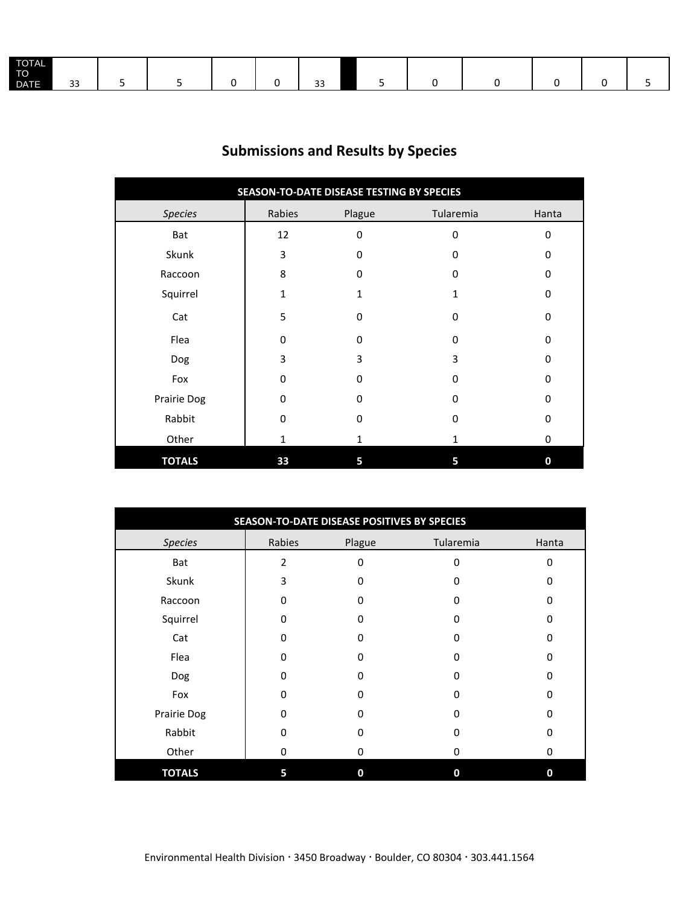| <b>TOTAL</b><br>TO <sup>1</sup><br><b>DATE</b> | $\sim$<br>ັ |  |  |  |  | $\sim$ $\sim$ |  |  |  |  |  |  |
|------------------------------------------------|-------------|--|--|--|--|---------------|--|--|--|--|--|--|
|------------------------------------------------|-------------|--|--|--|--|---------------|--|--|--|--|--|--|

# **Submissions and Results by Species**

| SEASON-TO-DATE DISEASE TESTING BY SPECIES |              |          |             |       |  |  |  |  |  |
|-------------------------------------------|--------------|----------|-------------|-------|--|--|--|--|--|
| <b>Species</b>                            | Rabies       | Plague   | Tularemia   | Hanta |  |  |  |  |  |
| Bat                                       | 12           | 0        | 0           | 0     |  |  |  |  |  |
| Skunk                                     | 3            | 0        | $\Omega$    | 0     |  |  |  |  |  |
| Raccoon                                   | 8            | $\Omega$ | 0           | 0     |  |  |  |  |  |
| Squirrel                                  | $\mathbf{1}$ | 1        | 1           | 0     |  |  |  |  |  |
| Cat                                       | 5            | $\Omega$ | $\mathbf 0$ | 0     |  |  |  |  |  |
| Flea                                      | $\Omega$     | $\Omega$ | $\mathbf 0$ | 0     |  |  |  |  |  |
| Dog                                       | 3            | 3        | 3           | 0     |  |  |  |  |  |
| Fox                                       | $\Omega$     | O        | $\mathbf 0$ | 0     |  |  |  |  |  |
| Prairie Dog                               | $\Omega$     | $\Omega$ | $\Omega$    | 0     |  |  |  |  |  |
| Rabbit                                    | $\Omega$     | 0        | 0           | 0     |  |  |  |  |  |
| Other                                     | $\mathbf{1}$ | 1        | 1           | 0     |  |  |  |  |  |
| <b>TOTALS</b>                             | 33           | 5        | 5           | 0     |  |  |  |  |  |

| SEASON-TO-DATE DISEASE POSITIVES BY SPECIES |                |             |           |          |  |  |  |  |  |
|---------------------------------------------|----------------|-------------|-----------|----------|--|--|--|--|--|
| <b>Species</b>                              | Rabies         | Plague      | Tularemia | Hanta    |  |  |  |  |  |
| Bat                                         | $\overline{2}$ | $\Omega$    | 0         | $\Omega$ |  |  |  |  |  |
| Skunk                                       | 3              | 0           | 0         | $\Omega$ |  |  |  |  |  |
| Raccoon                                     | $\Omega$       | ŋ           | 0         | O        |  |  |  |  |  |
| Squirrel                                    | 0              | $\Omega$    | 0         | $\Omega$ |  |  |  |  |  |
| Cat                                         | 0              | 0           | 0         | 0        |  |  |  |  |  |
| Flea                                        | $\Omega$       | ŋ           | 0         | $\Omega$ |  |  |  |  |  |
| Dog                                         | 0              | $\Omega$    | 0         | $\Omega$ |  |  |  |  |  |
| Fox                                         | $\Omega$       | ŋ           | 0         | $\Omega$ |  |  |  |  |  |
| Prairie Dog                                 | $\Omega$       | O           | 0         | $\Omega$ |  |  |  |  |  |
| Rabbit                                      | 0              | 0           | 0         | $\Omega$ |  |  |  |  |  |
| Other                                       | $\mathbf 0$    | 0           | 0         | 0        |  |  |  |  |  |
| <b>TOTALS</b>                               | 5              | $\mathbf 0$ | 0         | 0        |  |  |  |  |  |